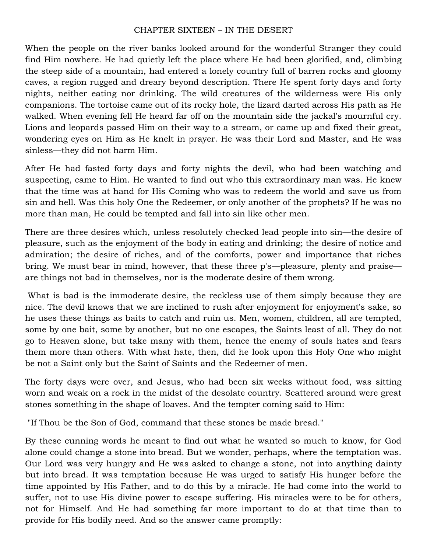## CHAPTER SIXTEEN – IN THE DESERT

When the people on the river banks looked around for the wonderful Stranger they could find Him nowhere. He had quietly left the place where He had been glorified, and, climbing the steep side of a mountain, had entered a lonely country full of barren rocks and gloomy caves, a region rugged and dreary beyond description. There He spent forty days and forty nights, neither eating nor drinking. The wild creatures of the wilderness were His only companions. The tortoise came out of its rocky hole, the lizard darted across His path as He walked. When evening fell He heard far off on the mountain side the jackal's mournful cry. Lions and leopards passed Him on their way to a stream, or came up and fixed their great, wondering eyes on Him as He knelt in prayer. He was their Lord and Master, and He was sinless—they did not harm Him.

After He had fasted forty days and forty nights the devil, who had been watching and suspecting, came to Him. He wanted to find out who this extraordinary man was. He knew that the time was at hand for His Coming who was to redeem the world and save us from sin and hell. Was this holy One the Redeemer, or only another of the prophets? If he was no more than man, He could be tempted and fall into sin like other men.

There are three desires which, unless resolutely checked lead people into sin—the desire of pleasure, such as the enjoyment of the body in eating and drinking; the desire of notice and admiration; the desire of riches, and of the comforts, power and importance that riches bring. We must bear in mind, however, that these three p's—pleasure, plenty and praise are things not bad in themselves, nor is the moderate desire of them wrong.

What is bad is the immoderate desire, the reckless use of them simply because they are nice. The devil knows that we are inclined to rush after enjoyment for enjoyment's sake, so he uses these things as baits to catch and ruin us. Men, women, children, all are tempted, some by one bait, some by another, but no one escapes, the Saints least of all. They do not go to Heaven alone, but take many with them, hence the enemy of souls hates and fears them more than others. With what hate, then, did he look upon this Holy One who might be not a Saint only but the Saint of Saints and the Redeemer of men.

The forty days were over, and Jesus, who had been six weeks without food, was sitting worn and weak on a rock in the midst of the desolate country. Scattered around were great stones something in the shape of loaves. And the tempter coming said to Him:

"If Thou be the Son of God, command that these stones be made bread."

By these cunning words he meant to find out what he wanted so much to know, for God alone could change a stone into bread. But we wonder, perhaps, where the temptation was. Our Lord was very hungry and He was asked to change a stone, not into anything dainty but into bread. It was temptation because He was urged to satisfy His hunger before the time appointed by His Father, and to do this by a miracle. He had come into the world to suffer, not to use His divine power to escape suffering. His miracles were to be for others, not for Himself. And He had something far more important to do at that time than to provide for His bodily need. And so the answer came promptly: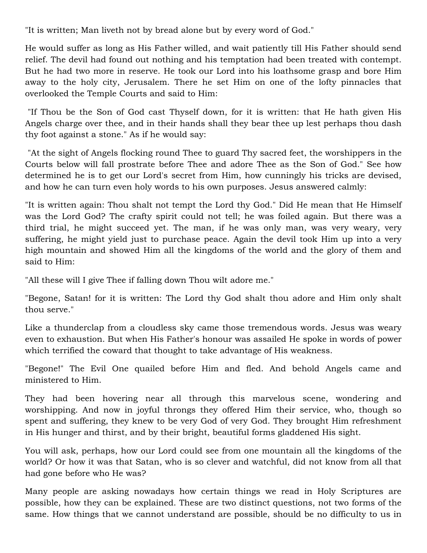"It is written; Man liveth not by bread alone but by every word of God."

He would suffer as long as His Father willed, and wait patiently till His Father should send relief. The devil had found out nothing and his temptation had been treated with contempt. But he had two more in reserve. He took our Lord into his loathsome grasp and bore Him away to the holy city, Jerusalem. There he set Him on one of the lofty pinnacles that overlooked the Temple Courts and said to Him:

"If Thou be the Son of God cast Thyself down, for it is written: that He hath given His Angels charge over thee, and in their hands shall they bear thee up lest perhaps thou dash thy foot against a stone." As if he would say:

"At the sight of Angels flocking round Thee to guard Thy sacred feet, the worshippers in the Courts below will fall prostrate before Thee and adore Thee as the Son of God." See how determined he is to get our Lord's secret from Him, how cunningly his tricks are devised, and how he can turn even holy words to his own purposes. Jesus answered calmly:

"It is written again: Thou shalt not tempt the Lord thy God." Did He mean that He Himself was the Lord God? The crafty spirit could not tell; he was foiled again. But there was a third trial, he might succeed yet. The man, if he was only man, was very weary, very suffering, he might yield just to purchase peace. Again the devil took Him up into a very high mountain and showed Him all the kingdoms of the world and the glory of them and said to Him:

"All these will I give Thee if falling down Thou wilt adore me."

"Begone, Satan! for it is written: The Lord thy God shalt thou adore and Him only shalt thou serve."

Like a thunderclap from a cloudless sky came those tremendous words. Jesus was weary even to exhaustion. But when His Father's honour was assailed He spoke in words of power which terrified the coward that thought to take advantage of His weakness.

"Begone!" The Evil One quailed before Him and fled. And behold Angels came and ministered to Him.

They had been hovering near all through this marvelous scene, wondering and worshipping. And now in joyful throngs they offered Him their service, who, though so spent and suffering, they knew to be very God of very God. They brought Him refreshment in His hunger and thirst, and by their bright, beautiful forms gladdened His sight.

You will ask, perhaps, how our Lord could see from one mountain all the kingdoms of the world? Or how it was that Satan, who is so clever and watchful, did not know from all that had gone before who He was?

Many people are asking nowadays how certain things we read in Holy Scriptures are possible, how they can be explained. These are two distinct questions, not two forms of the same. How things that we cannot understand are possible, should be no difficulty to us in